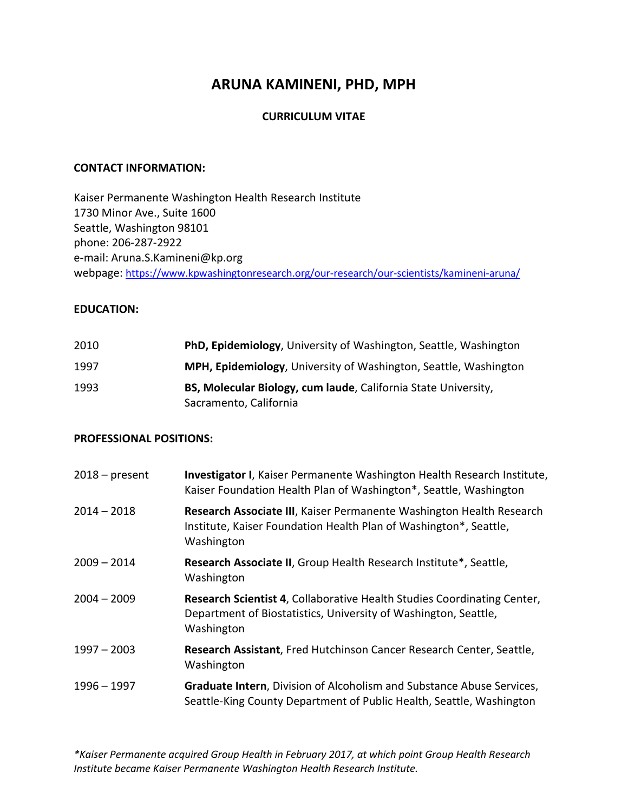# **ARUNA KAMINENI, PHD, MPH**

### **CURRICULUM VITAE**

### **CONTACT INFORMATION:**

Kaiser Permanente Washington Health Research Institute 1730 Minor Ave., Suite 1600 Seattle, Washington 98101 phone: 206-287-2922 e-mail: Aruna.S.Kamineni@kp.org webpage: <https://www.kpwashingtonresearch.org/our-research/our-scientists/kamineni-aruna/>

### **EDUCATION:**

| 2010 | <b>PhD, Epidemiology, University of Washington, Seattle, Washington</b>  |
|------|--------------------------------------------------------------------------|
| 1997 | <b>MPH, Epidemiology</b> , University of Washington, Seattle, Washington |
| 1993 | BS, Molecular Biology, cum laude, California State University,           |
|      | Sacramento, California                                                   |

#### **PROFESSIONAL POSITIONS:**

| $2018 - present$ | Investigator I, Kaiser Permanente Washington Health Research Institute,<br>Kaiser Foundation Health Plan of Washington*, Seattle, Washington             |
|------------------|----------------------------------------------------------------------------------------------------------------------------------------------------------|
| $2014 - 2018$    | Research Associate III, Kaiser Permanente Washington Health Research<br>Institute, Kaiser Foundation Health Plan of Washington*, Seattle,<br>Washington  |
| $2009 - 2014$    | Research Associate II, Group Health Research Institute*, Seattle,<br>Washington                                                                          |
| $2004 - 2009$    | Research Scientist 4, Collaborative Health Studies Coordinating Center,<br>Department of Biostatistics, University of Washington, Seattle,<br>Washington |
| $1997 - 2003$    | Research Assistant, Fred Hutchinson Cancer Research Center, Seattle,<br>Washington                                                                       |
| $1996 - 1997$    | Graduate Intern, Division of Alcoholism and Substance Abuse Services,<br>Seattle-King County Department of Public Health, Seattle, Washington            |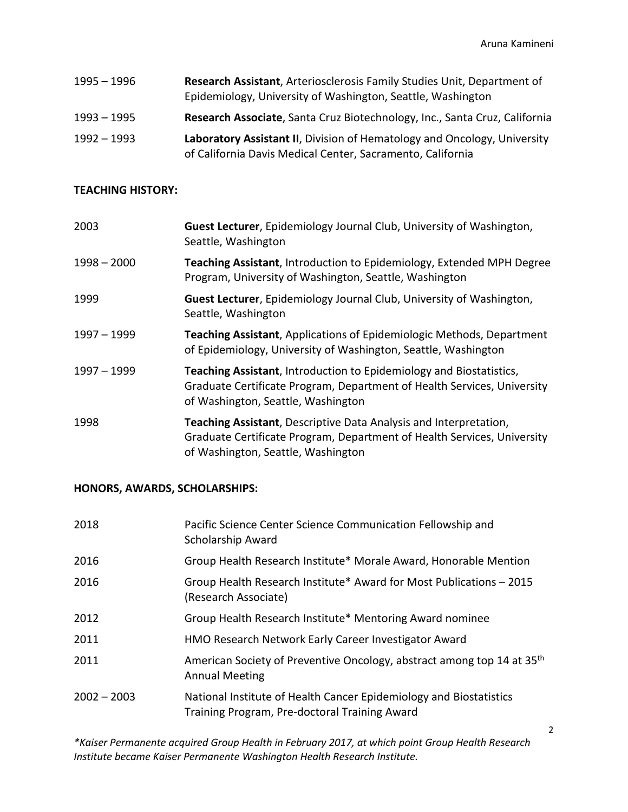| $1995 - 1996$ | Research Assistant, Arteriosclerosis Family Studies Unit, Department of<br>Epidemiology, University of Washington, Seattle, Washington |
|---------------|----------------------------------------------------------------------------------------------------------------------------------------|
| $1993 - 1995$ | Research Associate, Santa Cruz Biotechnology, Inc., Santa Cruz, California                                                             |
| $1992 - 1993$ | Laboratory Assistant II, Division of Hematology and Oncology, University<br>of California Davis Medical Center, Sacramento, California |

### **TEACHING HISTORY:**

| 2003          | Guest Lecturer, Epidemiology Journal Club, University of Washington,<br>Seattle, Washington                                                                                                 |
|---------------|---------------------------------------------------------------------------------------------------------------------------------------------------------------------------------------------|
| $1998 - 2000$ | Teaching Assistant, Introduction to Epidemiology, Extended MPH Degree<br>Program, University of Washington, Seattle, Washington                                                             |
| 1999          | Guest Lecturer, Epidemiology Journal Club, University of Washington,<br>Seattle, Washington                                                                                                 |
| 1997 - 1999   | Teaching Assistant, Applications of Epidemiologic Methods, Department<br>of Epidemiology, University of Washington, Seattle, Washington                                                     |
| 1997 – 1999   | <b>Teaching Assistant, Introduction to Epidemiology and Biostatistics,</b><br>Graduate Certificate Program, Department of Health Services, University<br>of Washington, Seattle, Washington |
| 1998          | Teaching Assistant, Descriptive Data Analysis and Interpretation,<br>Graduate Certificate Program, Department of Health Services, University<br>of Washington, Seattle, Washington          |

# **HONORS, AWARDS, SCHOLARSHIPS:**

| 2018          | Pacific Science Center Science Communication Fellowship and<br>Scholarship Award                                    |
|---------------|---------------------------------------------------------------------------------------------------------------------|
| 2016          | Group Health Research Institute* Morale Award, Honorable Mention                                                    |
| 2016          | Group Health Research Institute* Award for Most Publications – 2015<br>(Research Associate)                         |
| 2012          | Group Health Research Institute* Mentoring Award nominee                                                            |
| 2011          | HMO Research Network Early Career Investigator Award                                                                |
| 2011          | American Society of Preventive Oncology, abstract among top 14 at 35 <sup>th</sup><br><b>Annual Meeting</b>         |
| $2002 - 2003$ | National Institute of Health Cancer Epidemiology and Biostatistics<br>Training Program, Pre-doctoral Training Award |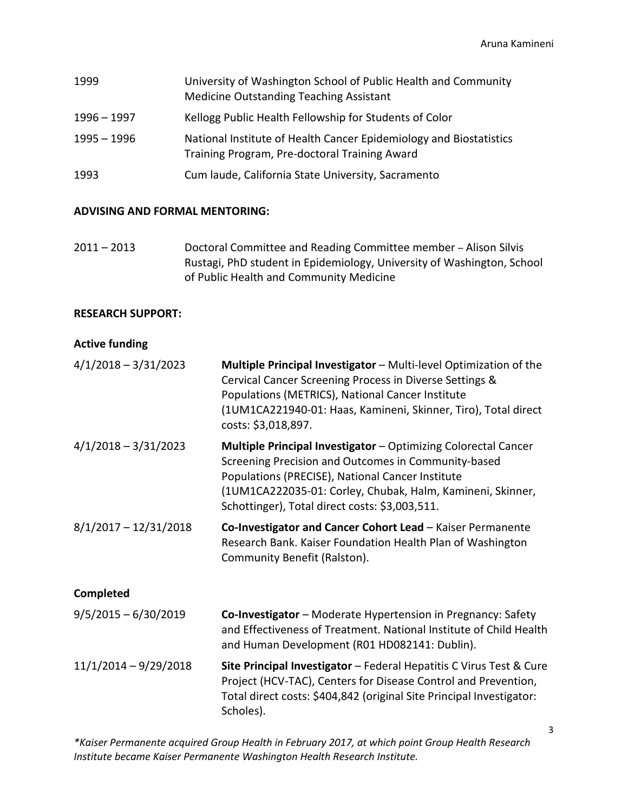| 1999          | University of Washington School of Public Health and Community<br><b>Medicine Outstanding Teaching Assistant</b>    |
|---------------|---------------------------------------------------------------------------------------------------------------------|
| $1996 - 1997$ | Kellogg Public Health Fellowship for Students of Color                                                              |
| $1995 - 1996$ | National Institute of Health Cancer Epidemiology and Biostatistics<br>Training Program, Pre-doctoral Training Award |
| 1993          | Cum laude, California State University, Sacramento                                                                  |

### **ADVISING AND FORMAL MENTORING:**

2011 – 2013 Doctoral Committee and Reading Committee member – Alison Silvis Rustagi, PhD student in Epidemiology, University of Washington, School of Public Health and Community Medicine

#### **RESEARCH SUPPORT:**

### **Active funding**

| $4/1/2018 - 3/31/2023$  | Multiple Principal Investigator - Multi-level Optimization of the<br>Cervical Cancer Screening Process in Diverse Settings &<br>Populations (METRICS), National Cancer Institute<br>(1UM1CA221940-01: Haas, Kamineni, Skinner, Tiro), Total direct<br>costs: \$3,018,897.                        |
|-------------------------|--------------------------------------------------------------------------------------------------------------------------------------------------------------------------------------------------------------------------------------------------------------------------------------------------|
| $4/1/2018 - 3/31/2023$  | <b>Multiple Principal Investigator - Optimizing Colorectal Cancer</b><br>Screening Precision and Outcomes in Community-based<br>Populations (PRECISE), National Cancer Institute<br>(1UM1CA222035-01: Corley, Chubak, Halm, Kamineni, Skinner,<br>Schottinger), Total direct costs: \$3,003,511. |
| $8/1/2017 - 12/31/2018$ | Co-Investigator and Cancer Cohort Lead - Kaiser Permanente<br>Research Bank. Kaiser Foundation Health Plan of Washington<br>Community Benefit (Ralston).                                                                                                                                         |
| <b>Completed</b>        |                                                                                                                                                                                                                                                                                                  |
| $9/5/2015 - 6/30/2019$  | Co-Investigator - Moderate Hypertension in Pregnancy: Safety<br>and Effectiveness of Treatment. National Institute of Child Health                                                                                                                                                               |

11/1/2014 – 9/29/2018 **Site Principal Investigator** – Federal Hepatitis C Virus Test & Cure Project (HCV-TAC), Centers for Disease Control and Prevention, Total direct costs: \$404,842 (original Site Principal Investigator: Scholes).

and Human Development (R01 HD082141: Dublin).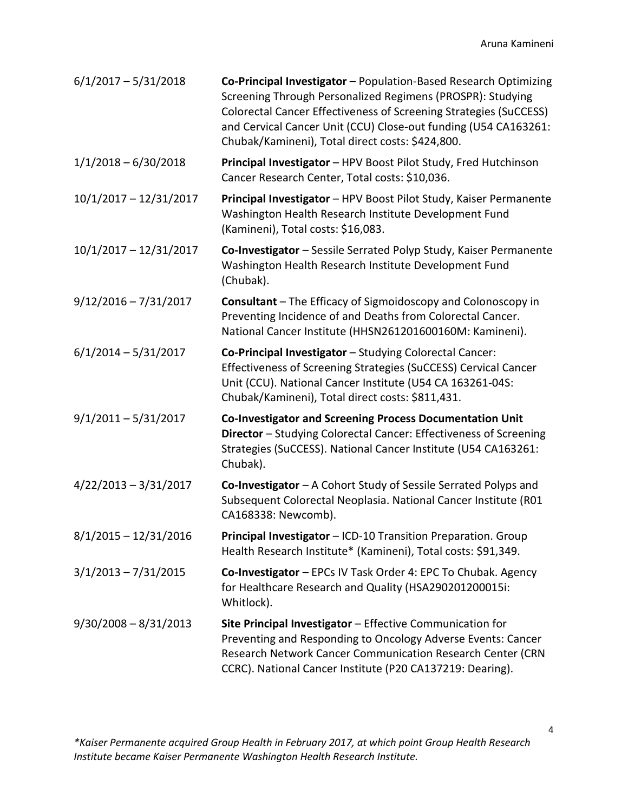| $6/1/2017 - 5/31/2018$   | Co-Principal Investigator - Population-Based Research Optimizing<br>Screening Through Personalized Regimens (PROSPR): Studying<br>Colorectal Cancer Effectiveness of Screening Strategies (SuCCESS)<br>and Cervical Cancer Unit (CCU) Close-out funding (U54 CA163261:<br>Chubak/Kamineni), Total direct costs: \$424,800. |
|--------------------------|----------------------------------------------------------------------------------------------------------------------------------------------------------------------------------------------------------------------------------------------------------------------------------------------------------------------------|
| $1/1/2018 - 6/30/2018$   | Principal Investigator - HPV Boost Pilot Study, Fred Hutchinson<br>Cancer Research Center, Total costs: \$10,036.                                                                                                                                                                                                          |
| $10/1/2017 - 12/31/2017$ | Principal Investigator - HPV Boost Pilot Study, Kaiser Permanente<br>Washington Health Research Institute Development Fund<br>(Kamineni), Total costs: \$16,083.                                                                                                                                                           |
| $10/1/2017 - 12/31/2017$ | Co-Investigator - Sessile Serrated Polyp Study, Kaiser Permanente<br>Washington Health Research Institute Development Fund<br>(Chubak).                                                                                                                                                                                    |
| $9/12/2016 - 7/31/2017$  | <b>Consultant</b> – The Efficacy of Sigmoidoscopy and Colonoscopy in<br>Preventing Incidence of and Deaths from Colorectal Cancer.<br>National Cancer Institute (HHSN261201600160M: Kamineni).                                                                                                                             |
| $6/1/2014 - 5/31/2017$   | Co-Principal Investigator - Studying Colorectal Cancer:<br>Effectiveness of Screening Strategies (SuCCESS) Cervical Cancer<br>Unit (CCU). National Cancer Institute (U54 CA 163261-04S:<br>Chubak/Kamineni), Total direct costs: \$811,431.                                                                                |
| $9/1/2011 - 5/31/2017$   | Co-Investigator and Screening Process Documentation Unit<br>Director - Studying Colorectal Cancer: Effectiveness of Screening<br>Strategies (SuCCESS). National Cancer Institute (U54 CA163261:<br>Chubak).                                                                                                                |
| $4/22/2013 - 3/31/2017$  | Co-Investigator - A Cohort Study of Sessile Serrated Polyps and<br>Subsequent Colorectal Neoplasia. National Cancer Institute (R01<br>CA168338: Newcomb).                                                                                                                                                                  |
| $8/1/2015 - 12/31/2016$  | Principal Investigator - ICD-10 Transition Preparation. Group<br>Health Research Institute* (Kamineni), Total costs: \$91,349.                                                                                                                                                                                             |
| $3/1/2013 - 7/31/2015$   | Co-Investigator - EPCs IV Task Order 4: EPC To Chubak. Agency<br>for Healthcare Research and Quality (HSA290201200015i:<br>Whitlock).                                                                                                                                                                                      |
| $9/30/2008 - 8/31/2013$  | Site Principal Investigator - Effective Communication for<br>Preventing and Responding to Oncology Adverse Events: Cancer<br>Research Network Cancer Communication Research Center (CRN<br>CCRC). National Cancer Institute (P20 CA137219: Dearing).                                                                       |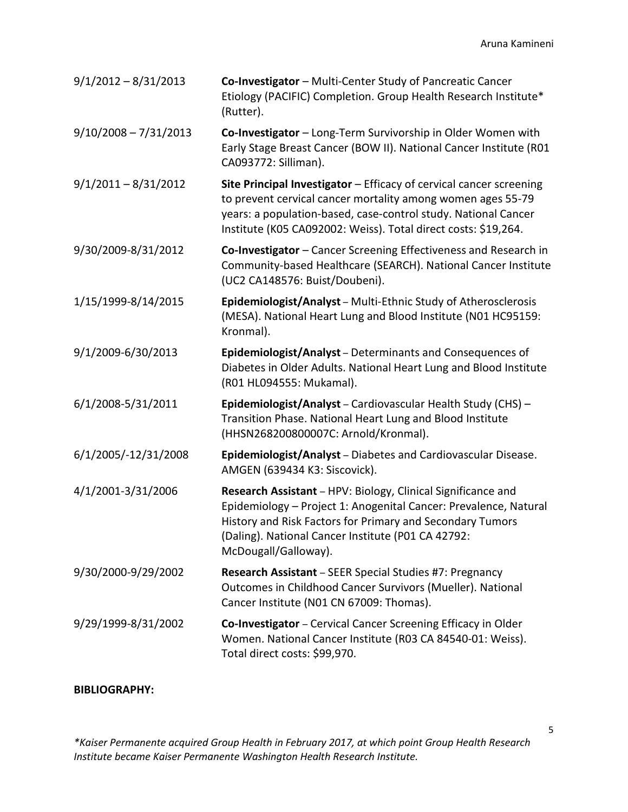| $9/1/2012 - 8/31/2013$  | Co-Investigator - Multi-Center Study of Pancreatic Cancer<br>Etiology (PACIFIC) Completion. Group Health Research Institute*<br>(Rutter).                                                                                                                                   |
|-------------------------|-----------------------------------------------------------------------------------------------------------------------------------------------------------------------------------------------------------------------------------------------------------------------------|
| $9/10/2008 - 7/31/2013$ | Co-Investigator - Long-Term Survivorship in Older Women with<br>Early Stage Breast Cancer (BOW II). National Cancer Institute (R01<br>CA093772: Silliman).                                                                                                                  |
| $9/1/2011 - 8/31/2012$  | Site Principal Investigator - Efficacy of cervical cancer screening<br>to prevent cervical cancer mortality among women ages 55-79<br>years: a population-based, case-control study. National Cancer<br>Institute (K05 CA092002: Weiss). Total direct costs: \$19,264.      |
| 9/30/2009-8/31/2012     | Co-Investigator - Cancer Screening Effectiveness and Research in<br>Community-based Healthcare (SEARCH). National Cancer Institute<br>(UC2 CA148576: Buist/Doubeni).                                                                                                        |
| 1/15/1999-8/14/2015     | Epidemiologist/Analyst - Multi-Ethnic Study of Atherosclerosis<br>(MESA). National Heart Lung and Blood Institute (N01 HC95159:<br>Kronmal).                                                                                                                                |
| 9/1/2009-6/30/2013      | Epidemiologist/Analyst - Determinants and Consequences of<br>Diabetes in Older Adults. National Heart Lung and Blood Institute<br>(R01 HL094555: Mukamal).                                                                                                                  |
| 6/1/2008-5/31/2011      | Epidemiologist/Analyst - Cardiovascular Health Study (CHS) -<br>Transition Phase. National Heart Lung and Blood Institute<br>(HHSN268200800007C: Arnold/Kronmal).                                                                                                           |
| 6/1/2005/-12/31/2008    | Epidemiologist/Analyst - Diabetes and Cardiovascular Disease.<br>AMGEN (639434 K3: Siscovick).                                                                                                                                                                              |
| 4/1/2001-3/31/2006      | Research Assistant - HPV: Biology, Clinical Significance and<br>Epidemiology - Project 1: Anogenital Cancer: Prevalence, Natural<br>History and Risk Factors for Primary and Secondary Tumors<br>(Daling). National Cancer Institute (P01 CA 42792:<br>McDougall/Galloway). |
| 9/30/2000-9/29/2002     | Research Assistant - SEER Special Studies #7: Pregnancy<br>Outcomes in Childhood Cancer Survivors (Mueller). National<br>Cancer Institute (N01 CN 67009: Thomas).                                                                                                           |
| 9/29/1999-8/31/2002     | Co-Investigator - Cervical Cancer Screening Efficacy in Older<br>Women. National Cancer Institute (R03 CA 84540-01: Weiss).<br>Total direct costs: \$99,970.                                                                                                                |

# **BIBLIOGRAPHY:**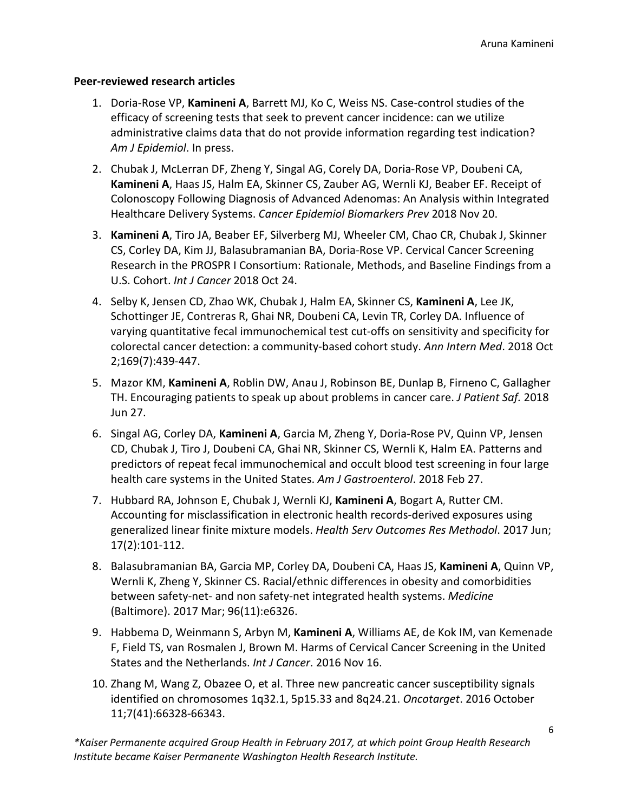### **Peer-reviewed research articles**

- 1. Doria-Rose VP, **Kamineni A**, Barrett MJ, Ko C, Weiss NS. Case-control studies of the efficacy of screening tests that seek to prevent cancer incidence: can we utilize administrative claims data that do not provide information regarding test indication? *Am J Epidemiol*. In press.
- 2. Chubak J, McLerran DF, Zheng Y, Singal AG, Corely DA, Doria-Rose VP, Doubeni CA, **Kamineni A**, Haas JS, Halm EA, Skinner CS, Zauber AG, Wernli KJ, Beaber EF. Receipt of Colonoscopy Following Diagnosis of Advanced Adenomas: An Analysis within Integrated Healthcare Delivery Systems. *Cancer Epidemiol Biomarkers Prev* 2018 Nov 20.
- 3. **Kamineni A**, Tiro JA, Beaber EF, Silverberg MJ, Wheeler CM, Chao CR, Chubak J, Skinner CS, Corley DA, Kim JJ, Balasubramanian BA, Doria-Rose VP. Cervical Cancer Screening Research in the PROSPR I Consortium: Rationale, Methods, and Baseline Findings from a U.S. Cohort. *Int J Cancer* 2018 Oct 24.
- 4. Selby K, Jensen CD, Zhao WK, Chubak J, Halm EA, Skinner CS, **Kamineni A**, Lee JK, Schottinger JE, Contreras R, Ghai NR, Doubeni CA, Levin TR, Corley DA. Influence of varying quantitative fecal immunochemical test cut-offs on sensitivity and specificity for colorectal cancer detection: a community-based cohort study. *Ann Intern Med*. 2018 Oct 2;169(7):439-447.
- 5. Mazor KM, **Kamineni A**, Roblin DW, Anau J, Robinson BE, Dunlap B, Firneno C, Gallagher TH. Encouraging patients to speak up about problems in cancer care. *J Patient Saf.* 2018 Jun 27.
- 6. Singal AG, Corley DA, **Kamineni A**, Garcia M, Zheng Y, Doria-Rose PV, Quinn VP, Jensen CD, Chubak J, Tiro J, Doubeni CA, Ghai NR, Skinner CS, Wernli K, Halm EA. Patterns and predictors of repeat fecal immunochemical and occult blood test screening in four large health care systems in the United States. *Am J Gastroenterol*. 2018 Feb 27.
- 7. Hubbard RA, Johnson E, Chubak J, Wernli KJ, **Kamineni A**, Bogart A, Rutter CM. Accounting [for misclassification in electronic health records-derived exposures using](https://www.ncbi.nlm.nih.gov/pubmed/28943779)  [generalized linear finite mixture models.](https://www.ncbi.nlm.nih.gov/pubmed/28943779) *Health Serv Outcomes Res Methodol*. 2017 Jun; 17(2):101-112.
- 8. Balasubramanian BA, Garcia MP, Corley DA, Doubeni CA, Haas JS, **Kamineni A**, Quinn VP, Wernli K, Zheng Y, Skinner CS. Racial/ethnic differences in obesity and comorbidities between safety-net- and non safety-net integrated health systems. *Medicine* (Baltimore). 2017 Mar; 96(11):e6326.
- 9. Habbema D, Weinmann S, Arbyn M, **Kamineni A**, Williams AE, de Kok IM, van Kemenade F, Field TS, van Rosmalen J, Brown M. Harms of Cervical Cancer Screening in the United States and the Netherlands. *Int J Cancer*. 2016 Nov 16.
- 10. Zhang M, Wang Z, Obazee O, et al. Three new pancreatic cancer susceptibility signals identified on chromosomes 1q32.1, 5p15.33 and 8q24.21. *Oncotarget*. 2016 October 11;7(41):66328-66343.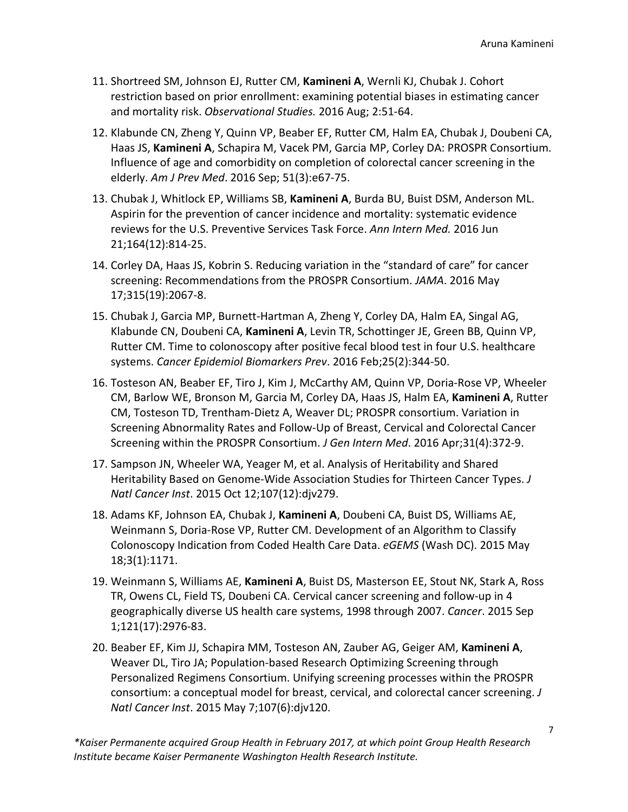- 11. Shortreed SM, Johnson EJ, Rutter CM, **Kamineni A**, Wernli KJ, Chubak J. Cohort restriction based on prior enrollment: examining potential biases in estimating cancer and mortality risk. *Observational Studies.* 2016 Aug; 2:51-64.
- 12. Klabunde CN, Zheng Y, Quinn VP, Beaber EF, Rutter CM, Halm EA, Chubak J, Doubeni CA, Haas JS, **Kamineni A**, Schapira M, Vacek PM, Garcia MP, Corley DA: PROSPR Consortium. Influence of age and comorbidity on completion of colorectal cancer screening in the elderly. *Am J Prev Med*. 2016 Sep; 51(3):e67-75.
- 13. Chubak J, Whitlock EP, Williams SB, **Kamineni A**, Burda BU, Buist DSM, Anderson ML. Aspirin for the prevention of cancer incidence and mortality: systematic evidence reviews for the U.S. Preventive Services Task Force. *Ann Intern Med.* 2016 Jun 21;164(12):814-25.
- 14. Corley DA, Haas JS, Kobrin S. Reducing variation in the "standard of care" for cancer screening: Recommendations from the PROSPR Consortium. *JAMA*. 2016 May 17;315(19):2067-8.
- 15. Chubak J, Garcia MP, Burnett-Hartman A, Zheng Y, Corley DA, Halm EA, Singal AG, Klabunde CN, Doubeni CA, **Kamineni A**, Levin TR, Schottinger JE, Green BB, Quinn VP, Rutter CM. Time to colonoscopy after positive fecal blood test in four U.S. healthcare systems. *Cancer Epidemiol Biomarkers Prev*. 2016 Feb;25(2):344-50.
- 16. Tosteson AN, Beaber EF, Tiro J, Kim J, McCarthy AM, Quinn VP, Doria-Rose VP, Wheeler CM, Barlow WE, Bronson M, Garcia M, Corley DA, Haas JS, Halm EA, **Kamineni A**, Rutter CM, Tosteson TD, Trentham-Dietz A, Weaver DL; PROSPR consortium. [Variation in](http://www.ncbi.nlm.nih.gov/pubmed/26658934)  [Screening Abnormality Rates and Follow-Up of Breast, Cervical and Colorectal Cancer](http://www.ncbi.nlm.nih.gov/pubmed/26658934)  [Screening within the PROSPR Consortium.](http://www.ncbi.nlm.nih.gov/pubmed/26658934) *J Gen Intern Med*. 2016 Apr;31(4):372-9.
- 17. Sampson JN, Wheeler WA, Yeager M, et al. [Analysis of Heritability and Shared](http://www.ncbi.nlm.nih.gov/pubmed/26464424)  [Heritability Based on Genome-Wide Association Studies for](http://www.ncbi.nlm.nih.gov/pubmed/26464424) Thirteen Cancer Types. *J Natl Cancer Inst*. 2015 Oct 12;107(12):djv279.
- 18. Adams KF, Johnson EA, Chubak J, **Kamineni A**, Doubeni CA, Buist DS, Williams AE, Weinmann S, Doria-Rose VP, Rutter CM[. Development of an Algorithm to Classify](http://www.ncbi.nlm.nih.gov/pubmed/26290883)  [Colonoscopy Indication from Coded Health Care Data.](http://www.ncbi.nlm.nih.gov/pubmed/26290883) *eGEMS* (Wash DC). 2015 May 18;3(1):1171.
- 19. Weinmann S, Williams AE, **Kamineni A**, Buist DS, Masterson EE, Stout NK, Stark A, Ross TR, Owens CL, Field TS, Doubeni CA[. Cervical cancer screening and follow-up in 4](http://www.ncbi.nlm.nih.gov/pubmed/25989253)  [geographically diverse US health care systems, 1998 through 2007.](http://www.ncbi.nlm.nih.gov/pubmed/25989253) *Cancer*. 2015 Sep 1;121(17):2976-83.
- 20. Beaber EF, Kim JJ, Schapira MM, Tosteson AN, Zauber AG, Geiger AM, **Kamineni A**, Weaver DL, Tiro JA; Population-based Research Optimizing Screening through Personalized Regimens Consortium. [Unifying screening processes within the PROSPR](http://www.ncbi.nlm.nih.gov/pubmed/25957378)  [consortium: a conceptual model for breast, cervical, and colorectal cancer screening.](http://www.ncbi.nlm.nih.gov/pubmed/25957378) *J Natl Cancer Inst*. 2015 May 7;107(6):djv120.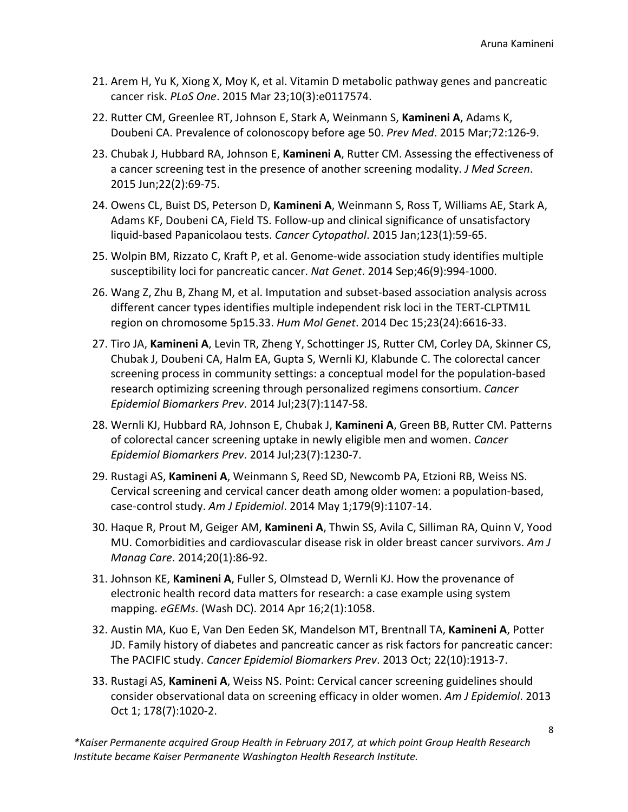- 21. Arem H, Yu K, Xiong X, Moy K, et al. [Vitamin D metabolic pathway genes and pancreatic](http://www.ncbi.nlm.nih.gov/pubmed/25799011)  [cancer risk.](http://www.ncbi.nlm.nih.gov/pubmed/25799011) *PLoS One*. 2015 Mar 23;10(3):e0117574.
- 22. Rutter CM, Greenlee RT, Johnson E, Stark A, Weinmann S, **Kamineni A**, Adams K, Doubeni CA. Prevalence of colonoscopy before age 50. *Prev Med*. 2015 Mar;72:126-9.
- 23. Chubak J, Hubbard RA, Johnson E, **Kamineni A**, Rutter CM. Assessing the effectiveness of a cancer screening test in the presence of another screening modality. *J Med Screen*. 2015 Jun;22(2):69-75.
- 24. Owens CL, Buist DS, Peterson D, **Kamineni A**, Weinmann S, Ross T, Williams AE, Stark A, Adams KF, Doubeni CA, Field TS. Follow-up and clinical significance of unsatisfactory liquid-based Papanicolaou tests. *Cancer Cytopathol*. 2015 Jan;123(1):59-65.
- 25. Wolpin BM, Rizzato C, Kraft P, et al. [Genome-wide association study identifies multiple](http://www.ncbi.nlm.nih.gov/pubmed/25086665)  [susceptibility loci for pancreatic cancer.](http://www.ncbi.nlm.nih.gov/pubmed/25086665) *Nat Genet*. 2014 Sep;46(9):994-1000.
- 26. Wang Z, Zhu B, Zhang M, et al. [Imputation and subset-based association analysis across](http://www.ncbi.nlm.nih.gov/pubmed/25027329)  [different cancer types identifies multiple independent risk loci in the TERT-CLPTM1L](http://www.ncbi.nlm.nih.gov/pubmed/25027329)  [region on chromosome 5p15.33.](http://www.ncbi.nlm.nih.gov/pubmed/25027329) *Hum Mol Genet*. 2014 Dec 15;23(24):6616-33.
- 27. Tiro JA, **Kamineni A**, Levin TR, Zheng Y, Schottinger JS, Rutter CM, Corley DA, Skinner CS, Chubak J, Doubeni CA, Halm EA, Gupta S, Wernli KJ, Klabunde C. The colorectal cancer screening process in community settings: a conceptual model for the population-based research optimizing screening through personalized regimens consortium. *Cancer Epidemiol Biomarkers Prev*. 2014 Jul;23(7):1147-58.
- 28. Wernli KJ, Hubbard RA, Johnson E, Chubak J, **Kamineni A**, Green BB, Rutter CM. Patterns of colorectal cancer screening uptake in newly eligible men and women. *Cancer Epidemiol Biomarkers Prev*. 2014 Jul;23(7):1230-7.
- 29. Rustagi AS, **Kamineni A**, Weinmann S, Reed SD, Newcomb PA, Etzioni RB, Weiss NS. Cervical screening and cervical cancer death among older women: a population-based, case-control study. *Am J Epidemiol*. 2014 May 1;179(9):1107-14.
- 30. Haque R, Prout M, Geiger AM, **Kamineni A**, Thwin SS, Avila C, Silliman RA, Quinn V, Yood MU. Comorbidities and cardiovascular disease risk in older breast cancer survivors. *Am J Manag Care*. 2014;20(1):86-92.
- 31. Johnson KE, **Kamineni A**, Fuller S, Olmstead D, Wernli KJ. How the provenance of electronic health record data matters for research: a case example using system mapping. *eGEMs*. (Wash DC). 2014 Apr 16;2(1):1058.
- 32. Austin MA, Kuo E, Van Den Eeden SK, Mandelson MT, Brentnall TA, **Kamineni A**, Potter JD. Family history of diabetes and pancreatic cancer as risk factors for pancreatic cancer: The PACIFIC study. *Cancer Epidemiol Biomarkers Prev*. 2013 Oct; 22(10):1913-7.
- 33. Rustagi AS, **Kamineni A**, Weiss NS. Point: Cervical cancer screening guidelines should consider observational data on screening efficacy in older women. *Am J Epidemiol*. 2013 Oct 1; 178(7):1020-2.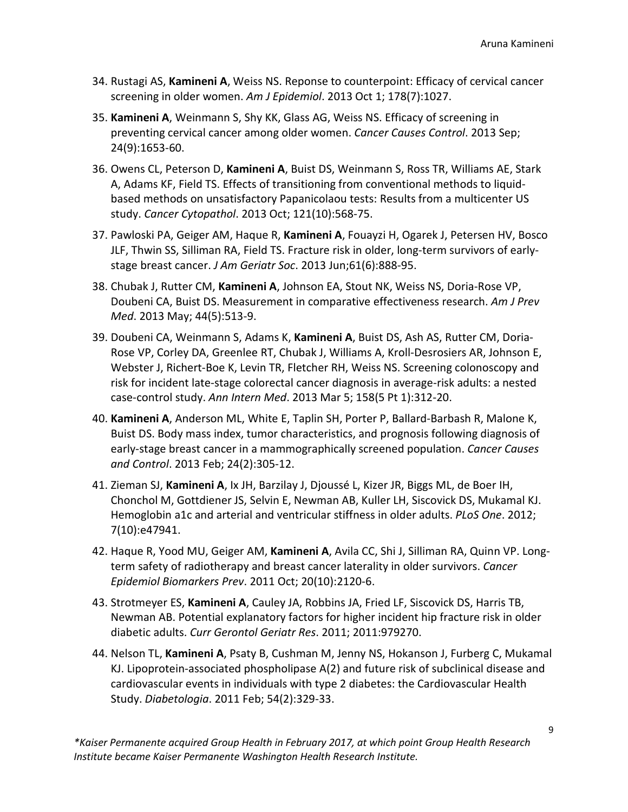- 34. Rustagi AS, **Kamineni A**, Weiss NS. Reponse to counterpoint: Efficacy of cervical cancer screening in older women. *Am J Epidemiol*. 2013 Oct 1; 178(7):1027.
- 35. **Kamineni A**, Weinmann S, Shy KK, Glass AG, Weiss NS. Efficacy of screening in preventing cervical cancer among older women. *Cancer Causes Control*. 2013 Sep; 24(9):1653-60.
- 36. Owens CL, Peterson D, **Kamineni A**, Buist DS, Weinmann S, Ross TR, Williams AE, Stark A, Adams KF, Field TS. Effects of transitioning from conventional methods to liquidbased methods on unsatisfactory Papanicolaou tests: Results from a multicenter US study. *Cancer Cytopathol*. 2013 Oct; 121(10):568-75.
- 37. Pawloski PA, Geiger AM, Haque R, **Kamineni A**, Fouayzi H, Ogarek J, Petersen HV, Bosco JLF, Thwin SS, Silliman RA, Field TS. Fracture risk in older, long-term survivors of earlystage breast cancer. *J Am Geriatr Soc*. 2013 Jun;61(6):888-95.
- 38. Chubak J, Rutter CM, **Kamineni A**, Johnson EA, Stout NK, Weiss NS, Doria-Rose VP, Doubeni CA, Buist DS. Measurement in comparative effectiveness research. *Am J Prev Med*. 2013 May; 44(5):513-9.
- 39. Doubeni CA, Weinmann S, Adams K, **Kamineni A**, Buist DS, Ash AS, Rutter CM, Doria-Rose VP, Corley DA, Greenlee RT, Chubak J, Williams A, Kroll-Desrosiers AR, Johnson E, Webster J, Richert-Boe K, Levin TR, Fletcher RH, Weiss NS. Screening colonoscopy and risk for incident late-stage colorectal cancer diagnosis in average-risk adults: a nested case-control study. *Ann Intern Med*. 2013 Mar 5; 158(5 Pt 1):312-20.
- 40. **Kamineni A**, Anderson ML, White E, Taplin SH, Porter P, Ballard-Barbash R, Malone K, Buist DS. Body mass index, tumor characteristics, and prognosis following diagnosis of early-stage breast cancer in a mammographically screened population. *Cancer Causes and Control*. 2013 Feb; 24(2):305-12.
- 41. Zieman SJ, **Kamineni A**, Ix JH, Barzilay J, Djoussé L, Kizer JR, Biggs ML, de Boer IH, Chonchol M, Gottdiener JS, Selvin E, Newman AB, Kuller LH, Siscovick DS, Mukamal KJ. Hemoglobin a1c and arterial and ventricular stiffness in older adults. *PLoS One*. 2012; 7(10):e47941.
- 42. Haque R, Yood MU, Geiger AM, **Kamineni A**, Avila CC, Shi J, Silliman RA, Quinn VP. Longterm safety of radiotherapy and breast cancer laterality in older survivors. *Cancer Epidemiol Biomarkers Prev*. 2011 Oct; 20(10):2120-6.
- 43. Strotmeyer ES, **Kamineni A**, Cauley JA, Robbins JA, Fried LF, Siscovick DS, Harris TB, Newman AB. Potential explanatory factors for higher incident hip fracture risk in older diabetic adults. *Curr Gerontol Geriatr Res*. 2011; 2011:979270.
- 44. Nelson TL, **Kamineni A**, Psaty B, Cushman M, Jenny NS, Hokanson J, Furberg C, Mukamal KJ. Lipoprotein-associated phospholipase A(2) and future risk of subclinical disease and cardiovascular events in individuals with type 2 diabetes: the Cardiovascular Health Study. *Diabetologia*. 2011 Feb; 54(2):329-33.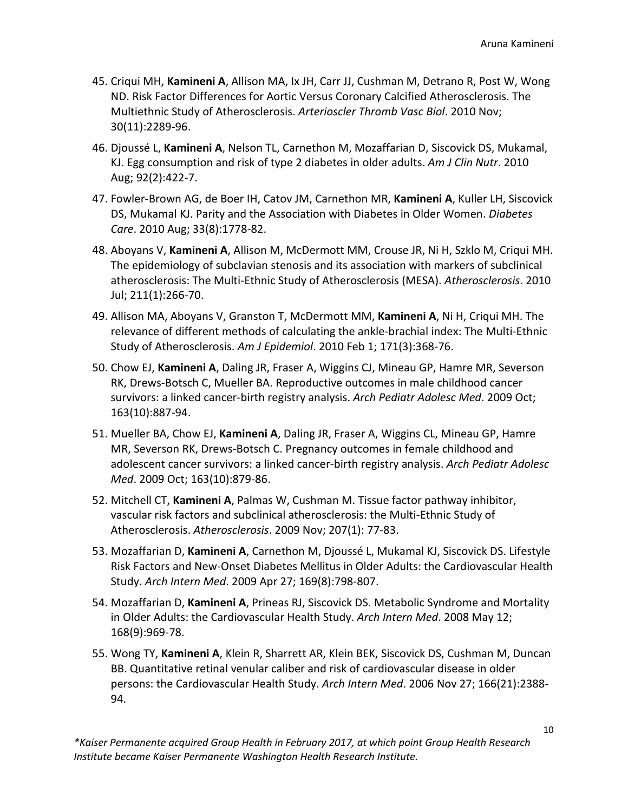- 45. Criqui MH, **Kamineni A**, Allison MA, Ix JH, Carr JJ, Cushman M, Detrano R, Post W, Wong ND. Risk Factor Differences for Aortic Versus Coronary Calcified Atherosclerosis. The Multiethnic Study of Atherosclerosis. *Arterioscler Thromb Vasc Biol*. 2010 Nov; 30(11):2289-96.
- 46. Djoussé L, **Kamineni A**, Nelson TL, Carnethon M, Mozaffarian D, Siscovick DS, Mukamal, KJ. Egg consumption and risk of type 2 diabetes in older adults. *Am J Clin Nutr*. 2010 Aug; 92(2):422-7.
- 47. Fowler-Brown AG, de Boer IH, Catov JM, Carnethon MR, **Kamineni A**, Kuller LH, Siscovick DS, Mukamal KJ. Parity and the Association with Diabetes in Older Women. *Diabetes Care*. 2010 Aug; 33(8):1778-82.
- 48. Aboyans V, **Kamineni A**, Allison M, McDermott MM, Crouse JR, Ni H, Szklo M, Criqui MH. The epidemiology of subclavian stenosis [and its association with markers of subclinical](http://www.ncbi.nlm.nih.gov/pubmed/20138280)  [atherosclerosis: The Multi-Ethnic Study of Atherosclerosis \(MESA\).](http://www.ncbi.nlm.nih.gov/pubmed/20138280) *Atherosclerosis*. 2010 Jul; 211(1):266-70.
- 49. Allison MA, Aboyans V, Granston T, McDermott MM, **Kamineni A**, Ni H, Criqui MH. The relevance of different methods of calculating the ankle-brachial index: The Multi-Ethnic Study of Atherosclerosis. *Am J Epidemiol*. 2010 Feb 1; 171(3):368-76.
- 50. Chow EJ, **Kamineni A**, Daling JR, Fraser A, Wiggins CJ, Mineau GP, Hamre MR, Severson RK, Drews-Botsch C, Mueller BA. Reproductive outcomes in male childhood cancer survivors: a linked cancer-birth registry analysis. *Arch Pediatr Adolesc Med*. 2009 Oct; 163(10):887-94.
- 51. Mueller BA, Chow EJ, **Kamineni A**, Daling JR, Fraser A, Wiggins CL, Mineau GP, Hamre MR, Severson RK, Drews-Botsch C. Pregnancy outcomes in female childhood and adolescent cancer survivors: a linked cancer-birth registry analysis. *Arch Pediatr Adolesc Med*. 2009 Oct; 163(10):879-86.
- 52. Mitchell CT, **Kamineni A**, Palmas W, Cushman M. Tissue factor pathway inhibitor, vascular risk factors and subclinical atherosclerosis: the Multi-Ethnic Study of Atherosclerosis. *Atherosclerosis*. 2009 Nov; 207(1): 77-83.
- 53. Mozaffarian D, **Kamineni A**, Carnethon M, Djoussé L, Mukamal KJ, Siscovick DS. Lifestyle Risk Factors and New-Onset Diabetes Mellitus in Older Adults: the Cardiovascular Health Study. *Arch Intern Med*. 2009 Apr 27; 169(8):798-807.
- 54. Mozaffarian D, **Kamineni A**, Prineas RJ, Siscovick DS. Metabolic Syndrome and Mortality in Older Adults: the Cardiovascular Health Study. *Arch Intern Med*. 2008 May 12; 168(9):969-78.
- 55. Wong TY, **Kamineni A**, Klein R, Sharrett AR, Klein BEK, Siscovick DS, Cushman M, Duncan BB. Quantitative retinal venular caliber and risk of cardiovascular disease in older persons: the Cardiovascular Health Study. *Arch Intern Med*. 2006 Nov 27; 166(21):2388- 94.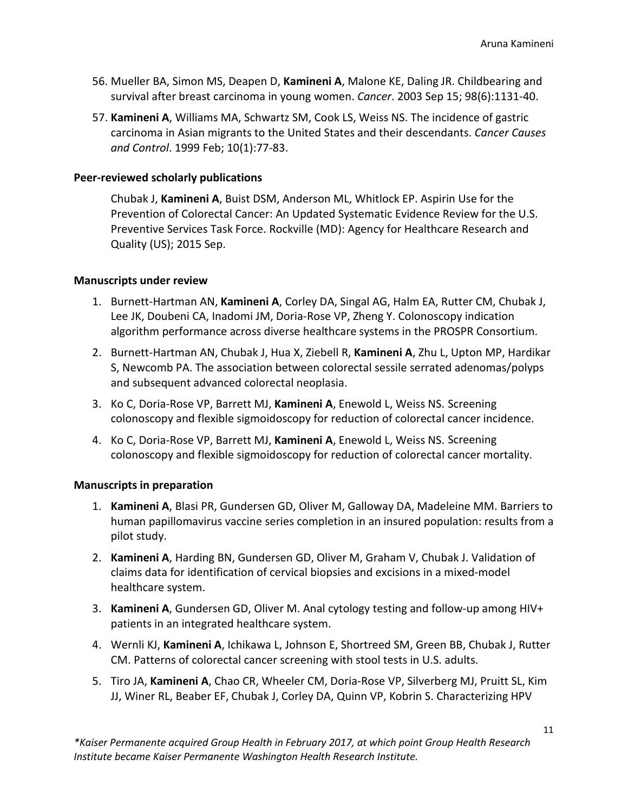- 56. Mueller BA, Simon MS, Deapen D, **Kamineni A**, Malone KE, Daling JR. Childbearing and survival after breast carcinoma in young women. *Cancer*. 2003 Sep 15; 98(6):1131-40.
- 57. **Kamineni A**, Williams MA, Schwartz SM, Cook LS, Weiss NS. The incidence of gastric carcinoma in Asian migrants to the United States and their descendants. *Cancer Causes and Control*. 1999 Feb; 10(1):77-83.

### **Peer-reviewed scholarly publications**

Chubak J, **Kamineni A**, Buist DSM, Anderson ML, Whitlock EP. Aspirin Use for the Prevention of Colorectal Cancer: An Updated Systematic Evidence Review for the U.S. Preventive Services Task Force. Rockville (MD): Agency for Healthcare Research and Quality (US); 2015 Sep.

### **Manuscripts under review**

- 1. Burnett-Hartman AN, **Kamineni A**, Corley DA, Singal AG, Halm EA, Rutter CM, Chubak J, Lee JK, Doubeni CA, Inadomi JM, Doria-Rose VP, Zheng Y. Colonoscopy indication algorithm performance across diverse healthcare systems in the PROSPR Consortium.
- 2. Burnett-Hartman AN, Chubak J, Hua X, Ziebell R, **Kamineni A**, Zhu L, Upton MP, Hardikar S, Newcomb PA. The association between colorectal sessile serrated adenomas/polyps and subsequent advanced colorectal neoplasia.
- 3. Ko C, Doria-Rose VP, Barrett MJ, **Kamineni A**, Enewold L, Weiss NS. Screening colonoscopy and flexible sigmoidoscopy for reduction of colorectal cancer incidence.
- 4. Ko C, Doria-Rose VP, Barrett MJ, **Kamineni A**, Enewold L, Weiss NS. Screening colonoscopy and flexible sigmoidoscopy for reduction of colorectal cancer mortality.

### **Manuscripts in preparation**

- 1. **Kamineni A**, Blasi PR, Gundersen GD, Oliver M, Galloway DA, Madeleine MM. Barriers to human papillomavirus vaccine series completion in an insured population: results from a pilot study.
- 2. **Kamineni A**, Harding BN, Gundersen GD, Oliver M, Graham V, Chubak J. Validation of claims data for identification of cervical biopsies and excisions in a mixed-model healthcare system.
- 3. **Kamineni A**, Gundersen GD, Oliver M. Anal cytology testing and follow-up among HIV+ patients in an integrated healthcare system.
- 4. Wernli KJ, **Kamineni A**, Ichikawa L, Johnson E, Shortreed SM, Green BB, Chubak J, Rutter CM. Patterns of colorectal cancer screening with stool tests in U.S. adults.
- 5. Tiro JA, **Kamineni A**, Chao CR, Wheeler CM, Doria-Rose VP, Silverberg MJ, Pruitt SL, Kim JJ, Winer RL, Beaber EF, Chubak J, Corley DA, Quinn VP, Kobrin S. Characterizing HPV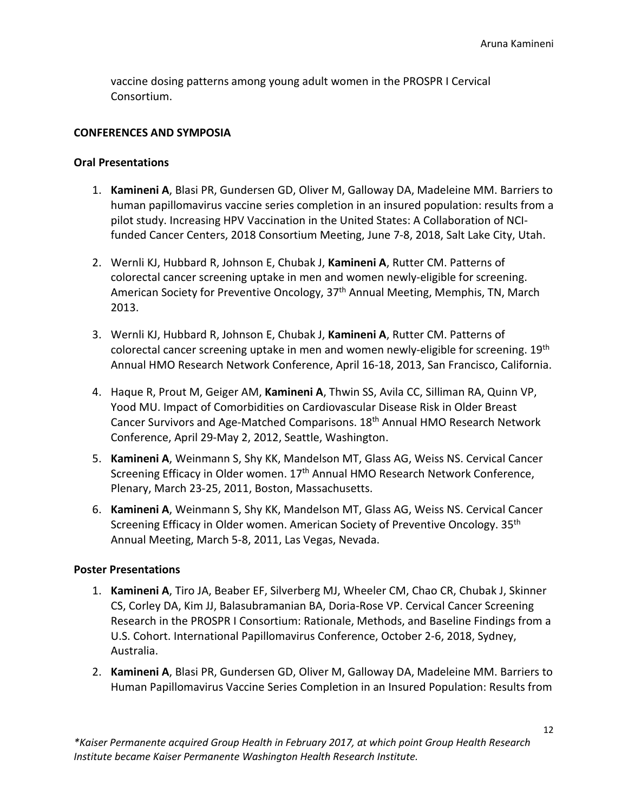vaccine dosing patterns among young adult women in the PROSPR I Cervical Consortium.

### **CONFERENCES AND SYMPOSIA**

### **Oral Presentations**

- 1. **Kamineni A**, Blasi PR, Gundersen GD, Oliver M, Galloway DA, Madeleine MM. Barriers to human papillomavirus vaccine series completion in an insured population: results from a pilot study. Increasing HPV Vaccination in the United States: A Collaboration of NCIfunded Cancer Centers, 2018 Consortium Meeting, June 7-8, 2018, Salt Lake City, Utah.
- 2. Wernli KJ, Hubbard R, Johnson E, Chubak J, **Kamineni A**, Rutter CM. Patterns of colorectal cancer screening uptake in men and women newly-eligible for screening. American Society for Preventive Oncology, 37<sup>th</sup> Annual Meeting, Memphis, TN, March 2013.
- 3. Wernli KJ, Hubbard R, Johnson E, Chubak J, **Kamineni A**, Rutter CM. Patterns of colorectal cancer screening uptake in men and women newly-eligible for screening. 19<sup>th</sup> Annual HMO Research Network Conference, April 16-18, 2013, San Francisco, California.
- 4. Haque R, Prout M, Geiger AM, **Kamineni A**, Thwin SS, Avila CC, Silliman RA, Quinn VP, Yood MU. Impact of Comorbidities on Cardiovascular Disease Risk in Older Breast Cancer Survivors and Age-Matched Comparisons. 18<sup>th</sup> Annual HMO Research Network Conference, April 29-May 2, 2012, Seattle, Washington.
- 5. **Kamineni A**, Weinmann S, Shy KK, Mandelson MT, Glass AG, Weiss NS. Cervical Cancer Screening Efficacy in Older women. 17<sup>th</sup> Annual HMO Research Network Conference, Plenary, March 23-25, 2011, Boston, Massachusetts.
- 6. **Kamineni A**, Weinmann S, Shy KK, Mandelson MT, Glass AG, Weiss NS. Cervical Cancer Screening Efficacy in Older women. American Society of Preventive Oncology. 35<sup>th</sup> Annual Meeting, March 5-8, 2011, Las Vegas, Nevada.

### **Poster Presentations**

- 1. **Kamineni A**, Tiro JA, Beaber EF, Silverberg MJ, Wheeler CM, Chao CR, Chubak J, Skinner CS, Corley DA, Kim JJ, Balasubramanian BA, Doria-Rose VP. Cervical Cancer Screening Research in the PROSPR I Consortium: Rationale, Methods, and Baseline Findings from a U.S. Cohort. International Papillomavirus Conference, October 2-6, 2018, Sydney, Australia.
- 2. **Kamineni A**, Blasi PR, Gundersen GD, Oliver M, Galloway DA, Madeleine MM. Barriers to Human Papillomavirus Vaccine Series Completion in an Insured Population: Results from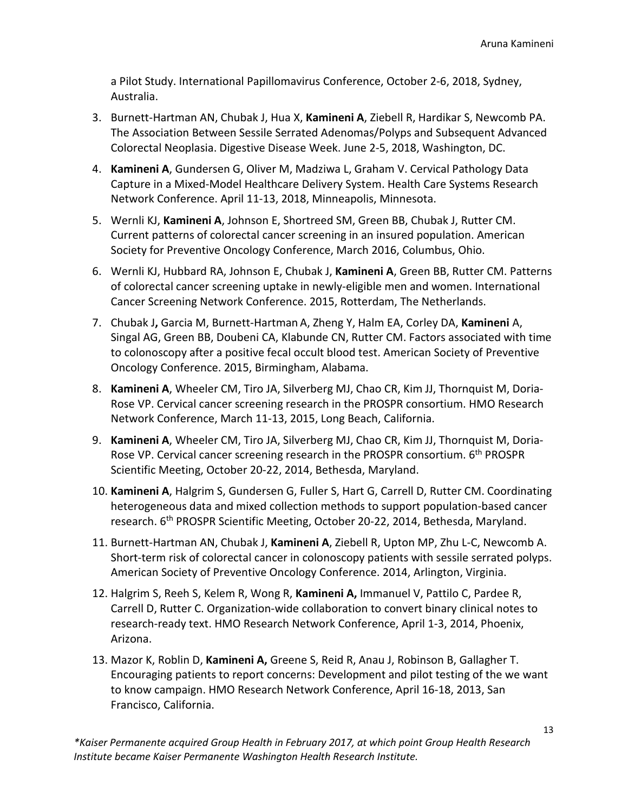a Pilot Study. International Papillomavirus Conference, October 2-6, 2018, Sydney, Australia.

- 3. Burnett-Hartman AN, Chubak J, Hua X, **Kamineni A**, Ziebell R, Hardikar S, Newcomb PA. The Association Between Sessile Serrated Adenomas/Polyps and Subsequent Advanced Colorectal Neoplasia. Digestive Disease Week. June 2-5, 2018, Washington, DC.
- 4. **Kamineni A**, Gundersen G, Oliver M, Madziwa L, Graham V. Cervical Pathology Data Capture in a Mixed-Model Healthcare Delivery System. Health Care Systems Research Network Conference. April 11-13, 2018, Minneapolis, Minnesota.
- 5. Wernli KJ, **Kamineni A**, Johnson E, Shortreed SM, Green BB, Chubak J, Rutter CM. Current patterns of colorectal cancer screening in an insured population. American Society for Preventive Oncology Conference, March 2016, Columbus, Ohio.
- 6. Wernli KJ, Hubbard RA, Johnson E, Chubak J, **Kamineni A**, Green BB, Rutter CM. Patterns of colorectal cancer screening uptake in newly-eligible men and women. International Cancer Screening Network Conference. 2015, Rotterdam, The Netherlands.
- 7. Chubak J**,** Garcia M, Burnett-Hartman A, Zheng Y, Halm EA, Corley DA, **Kamineni** A, Singal AG, Green BB, Doubeni CA, Klabunde CN, Rutter CM. Factors associated with time to colonoscopy after a positive fecal occult blood test. American Society of Preventive Oncology Conference. 2015, Birmingham, Alabama.
- 8. **Kamineni A**, Wheeler CM, Tiro JA, Silverberg MJ, Chao CR, Kim JJ, Thornquist M, Doria-Rose VP. Cervical cancer screening research in the PROSPR consortium. HMO Research Network Conference, March 11-13, 2015, Long Beach, California.
- 9. **Kamineni A**, Wheeler CM, Tiro JA, Silverberg MJ, Chao CR, Kim JJ, Thornquist M, Doria-Rose VP. Cervical cancer screening research in the PROSPR consortium. 6<sup>th</sup> PROSPR Scientific Meeting, October 20-22, 2014, Bethesda, Maryland.
- 10. **Kamineni A**, Halgrim S, Gundersen G, Fuller S, Hart G, Carrell D, Rutter CM. Coordinating heterogeneous data and mixed collection methods to support population-based cancer research. 6<sup>th</sup> PROSPR Scientific Meeting, October 20-22, 2014, Bethesda, Maryland.
- 11. Burnett-Hartman AN, Chubak J, **Kamineni A**, Ziebell R, Upton MP, Zhu L-C, Newcomb A. Short-term risk of colorectal cancer in colonoscopy patients with sessile serrated polyps. American Society of Preventive Oncology Conference. 2014, Arlington, Virginia.
- 12. Halgrim S, Reeh S, Kelem R, Wong R, **Kamineni A,** Immanuel V, Pattilo C, Pardee R, Carrell D, Rutter C. Organization-wide collaboration to convert binary clinical notes to research-ready text. HMO Research Network Conference, April 1-3, 2014, Phoenix, Arizona.
- 13. Mazor K, Roblin D, **Kamineni A,** Greene S, Reid R, Anau J, Robinson B, Gallagher T. Encouraging patients to report concerns: Development and pilot testing of the we want to know campaign. HMO Research Network Conference, April 16-18, 2013, San Francisco, California.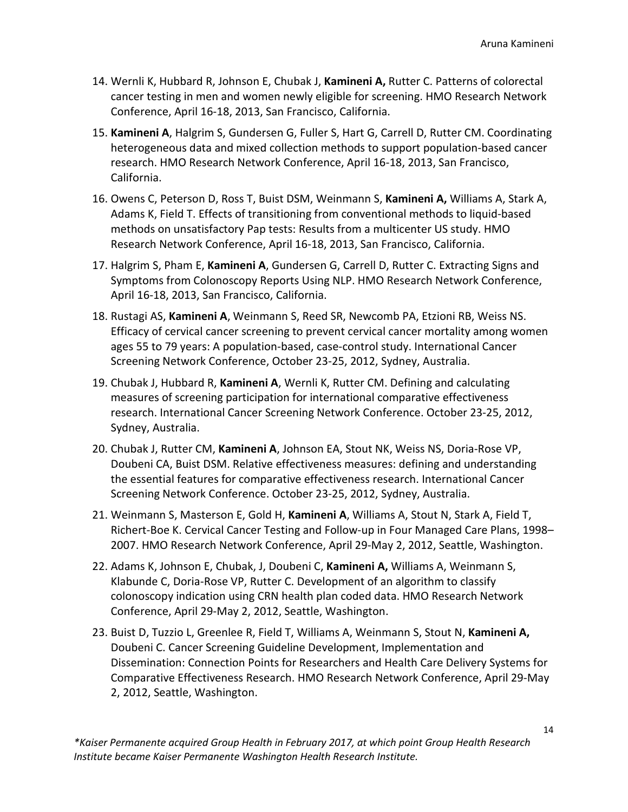- 14. Wernli K, Hubbard R, Johnson E, Chubak J, **Kamineni A,** Rutter C. Patterns of colorectal cancer testing in men and women newly eligible for screening. HMO Research Network Conference, April 16-18, 2013, San Francisco, California.
- 15. **Kamineni A**, Halgrim S, Gundersen G, Fuller S, Hart G, Carrell D, Rutter CM. Coordinating heterogeneous data and mixed collection methods to support population-based cancer research. HMO Research Network Conference, April 16-18, 2013, San Francisco, California.
- 16. Owens C, Peterson D, Ross T, Buist DSM, Weinmann S, **Kamineni A,** Williams A, Stark A, Adams K, Field T. Effects of transitioning from conventional methods to liquid-based methods on unsatisfactory Pap tests: Results from a multicenter US study. HMO Research Network Conference, April 16-18, 2013, San Francisco, California.
- 17. Halgrim S, Pham E, **Kamineni A**, Gundersen G, Carrell D, Rutter C. Extracting Signs and Symptoms from Colonoscopy Reports Using NLP. HMO Research Network Conference, April 16-18, 2013, San Francisco, California.
- 18. Rustagi AS, **Kamineni A**, Weinmann S, Reed SR, Newcomb PA, Etzioni RB, Weiss NS. Efficacy of cervical cancer screening to prevent cervical cancer mortality among women ages 55 to 79 years: A population-based, case-control study. International Cancer Screening Network Conference, October 23-25, 2012, Sydney, Australia.
- 19. Chubak J, Hubbard R, **Kamineni A**, Wernli K, Rutter CM. Defining and calculating measures of screening participation for international comparative effectiveness research. International Cancer Screening Network Conference. October 23-25, 2012, Sydney, Australia.
- 20. Chubak J, Rutter CM, **Kamineni A**, Johnson EA, Stout NK, Weiss NS, Doria-Rose VP, Doubeni CA, Buist DSM. Relative effectiveness measures: defining and understanding the essential features for comparative effectiveness research. International Cancer Screening Network Conference. October 23-25, 2012, Sydney, Australia.
- 21. Weinmann S, Masterson E, Gold H, **Kamineni A**, Williams A, Stout N, Stark A, Field T, Richert-Boe K. Cervical Cancer Testing and Follow-up in Four Managed Care Plans, 1998– 2007. HMO Research Network Conference, April 29-May 2, 2012, Seattle, Washington.
- 22. Adams K, Johnson E, Chubak, J, Doubeni C, **Kamineni A,** Williams A, Weinmann S, Klabunde C, Doria-Rose VP, Rutter C. Development of an algorithm to classify colonoscopy indication using CRN health plan coded data. HMO Research Network Conference, April 29-May 2, 2012, Seattle, Washington.
- 23. Buist D, Tuzzio L, Greenlee R, Field T, Williams A, Weinmann S, Stout N, **Kamineni A,** Doubeni C. Cancer Screening Guideline Development, Implementation and Dissemination: Connection Points for Researchers and Health Care Delivery Systems for Comparative Effectiveness Research. HMO Research Network Conference, April 29-May 2, 2012, Seattle, Washington.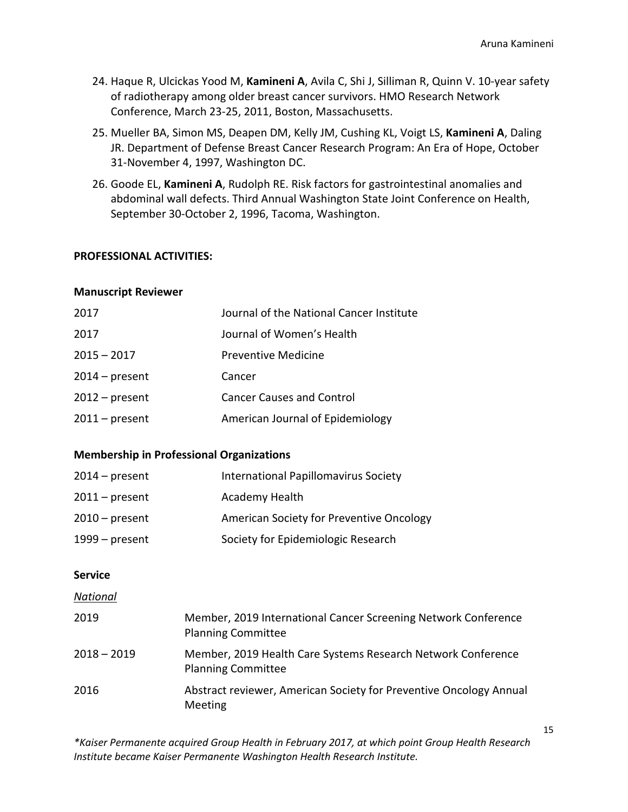- 24. Haque R, Ulcickas Yood M, **Kamineni A**, Avila C, Shi J, Silliman R, Quinn V. 10-year safety of radiotherapy among older breast cancer survivors. HMO Research Network Conference, March 23-25, 2011, Boston, Massachusetts.
- 25. Mueller BA, Simon MS, Deapen DM, Kelly JM, Cushing KL, Voigt LS, **Kamineni A**, Daling JR. Department of Defense Breast Cancer Research Program: An Era of Hope, October 31-November 4, 1997, Washington DC.
- 26. Goode EL, **Kamineni A**, Rudolph RE. Risk factors for gastrointestinal anomalies and abdominal wall defects. Third Annual Washington State Joint Conference on Health, September 30-October 2, 1996, Tacoma, Washington.

### **PROFESSIONAL ACTIVITIES:**

#### **Manuscript Reviewer**

| 2017             | Journal of the National Cancer Institute |
|------------------|------------------------------------------|
| 2017             | Journal of Women's Health                |
| $2015 - 2017$    | Preventive Medicine                      |
| $2014$ – present | Cancer                                   |
| $2012$ – present | <b>Cancer Causes and Control</b>         |
| $2011$ – present | American Journal of Epidemiology         |

#### **Membership in Professional Organizations**

| $2014$ – present | International Papillomavirus Society     |
|------------------|------------------------------------------|
| $2011$ – present | Academy Health                           |
| $2010$ – present | American Society for Preventive Oncology |
| $1999 - present$ | Society for Epidemiologic Research       |

### **Service**

#### *National*

| 2019          | Member, 2019 International Cancer Screening Network Conference<br><b>Planning Committee</b> |
|---------------|---------------------------------------------------------------------------------------------|
| $2018 - 2019$ | Member, 2019 Health Care Systems Research Network Conference<br><b>Planning Committee</b>   |
| 2016          | Abstract reviewer, American Society for Preventive Oncology Annual<br>Meeting               |